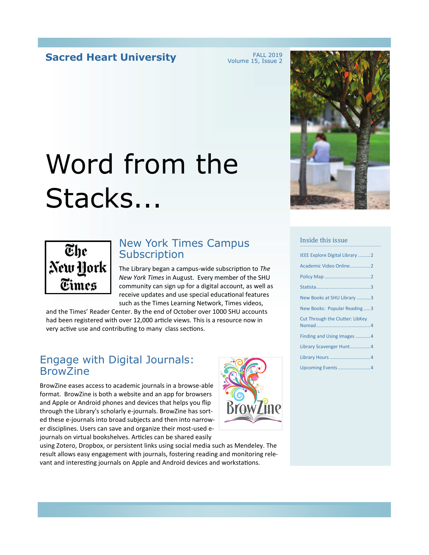#### **Sacred Heart University**

FALL 2019 Volume 15, Issue 2

## Word from the Stacks...



#### New York Times Campus **Subscription**

The Library began a campus-wide subscription to *The New York Times* in August. Every member of the SHU community can sign up for a digital account, as well as receive updates and use special educational features such as the Times Learning Network, Times videos,

and the Times' Reader Center. By the end of October over 1000 SHU accounts had been registered with over 12,000 article views. This is a resource now in very active use and contributing to many class sections.

#### Engage with Digital Journals: BrowZine

BrowZine eases access to academic journals in a browse-able format. BrowZine is both a website and an app for browsers and Apple or Android phones and devices that helps you fip through the Library's scholarly e-journals. BrowZine has sorted these e-journals into broad subjects and then into narrower disciplines. Users can save and organize their most-used ejournals on virtual bookshelves. Articles can be shared easily







#### Inside this issue

| IEEE Explore Digital Library 2         |
|----------------------------------------|
| Academic Video Online2                 |
|                                        |
|                                        |
| New Books at SHU Library 3             |
| New Books: Popular Reading3            |
| <b>Cut Through the Clutter: LibKey</b> |
| Finding and Using Images 4             |
| Library Scavenger Hunt4                |
|                                        |
| Upcoming Events 4                      |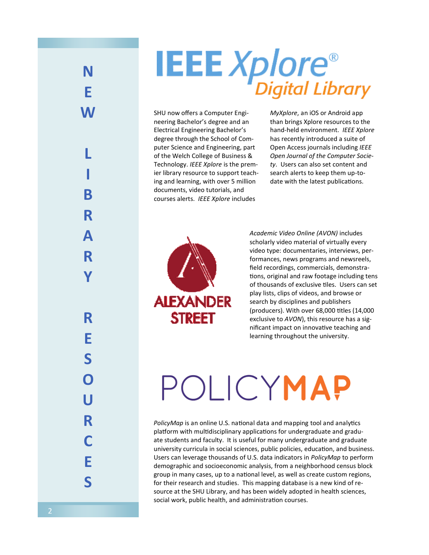### **N E W L I B R A R Y R E S O U R C E S**

# **IEEE Xplore**®

SHU now offers a Computer Engineering Bachelor's degree and an Electrical Engineering Bachelor's degree through the School of Computer Science and Engineering, part of the Welch College of Business & Technology. *IEEE Xplore* is the premier library resource to support teaching and learning, with over 5 million documents, video tutorials, and courses alerts. *IEEE Xplore* includes

**STREET** 

*MyXplore*, an iOS or Android app than brings Xplore resources to the hand-held environment. *IEEE Xplore* has recently introduced a suite of Open Access journals including *IEEE Open Journal of the Computer Society*. Users can also set content and search alerts to keep them up-todate with the latest publications.

*Academic Video Online (AVON)* includes scholarly video material of virtually every video type: documentaries, interviews, performances, news programs and newsreels, feld recordings, commercials, demonstrations, original and raw footage including tens of thousands of exclusive tiles. Users can set play lists, clips of videos, and browse or **ALEXANDER** search by disciplines and publishers (producers). With over 68,000 ttles (14,000 exclusive to *AVON*), this resource has a significant impact on innovative teaching and learning throughout the university.

## POLICYMAP

PolicyMap is an online U.S. national data and mapping tool and analytics platform with multidisciplinary applications for undergraduate and graduate students and faculty.  It is useful for many undergraduate and graduate university curricula in social sciences, public policies, educaton, and business. Users can leverage thousands of U.S. data indicators in *PolicyMap* to perform demographic and socioeconomic analysis, from a neighborhood census block group in many cases, up to a natonal level, as well as create custom regions, for their research and studies. This mapping database is a new kind of resource at the SHU Library, and has been widely adopted in health sciences, social work, public health, and administration courses.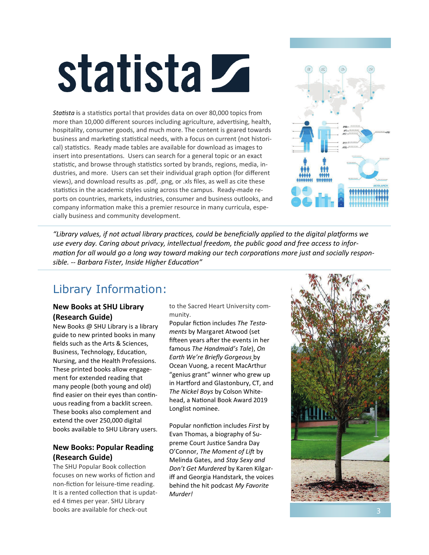# statista Z

Statista is a statistics portal that provides data on over 80,000 topics from more than 10,000 different sources including agriculture, advertising, health, hospitality, consumer goods, and much more. The content is geared towards business and marketing statistical needs, with a focus on current (not historical) statistics. Ready made tables are available for download as images to insert into presentations. Users can search for a general topic or an exact statistic, and browse through statistics sorted by brands, regions, media, industries, and more. Users can set their individual graph option (for different views), and download results as .pdf, .png, or .xls fles, as well as cite these statistics in the academic styles using across the campus. Ready-made reports on countries, markets, industries, consumer and business outlooks, and company information make this a premier resource in many curricula, especially business and community development.



"Library values, if not actual library practices, could be beneficially applied to the digital platforms we *use every day. Caring about privacy, intellectual freedom, the public good and free access to infor*mation for all would go a long way toward making our tech corporations more just and socially respon*sible. -- Barbara Fister, Inside Higher Educaton"*

#### Library Information:

#### **New Books at SHU Library (Research Guide)**

New Books @ SHU Library is a library guide to new printed books in many felds such as the Arts & Sciences, Business, Technology, Education, Nursing, and the Health Professions. These printed books allow engagement for extended reading that many people (both young and old) fnd easier on their eyes than contnuous reading from a backlit screen. These books also complement and extend the over 250,000 digital books available to SHU Library users.

#### **New Books: Popular Reading (Research Guide)**

The SHU Popular Book collection focuses on new works of fiction and non-fiction for leisure-time reading. It is a rented collection that is updated 4 times per year. SHU Library books are available for check-out

to the Sacred Heart University community.

Popular fiction includes The Testa*ments* by Margaret Atwood (set fifteen years after the events in her famous *The Handmaid's Tale*), *On Earth We're Briefy Gorgeous* by Ocean Vuong, a recent MacArthur "genius grant" winner who grew up in Hartford and Glastonbury, CT, and *The Nickel Boys* by Colson Whitehead, a National Book Award 2019 Longlist nominee.

Popular nonfiction includes *First* by Evan Thomas, a biography of Supreme Court Justice Sandra Day O'Connor, *The Moment of Lif* by Melinda Gates, and *Stay Sexy and Don't Get Murdered* by Karen Kilgariff and Georgia Handstark, the voices behind the hit podcast *My Favorite Murder!*